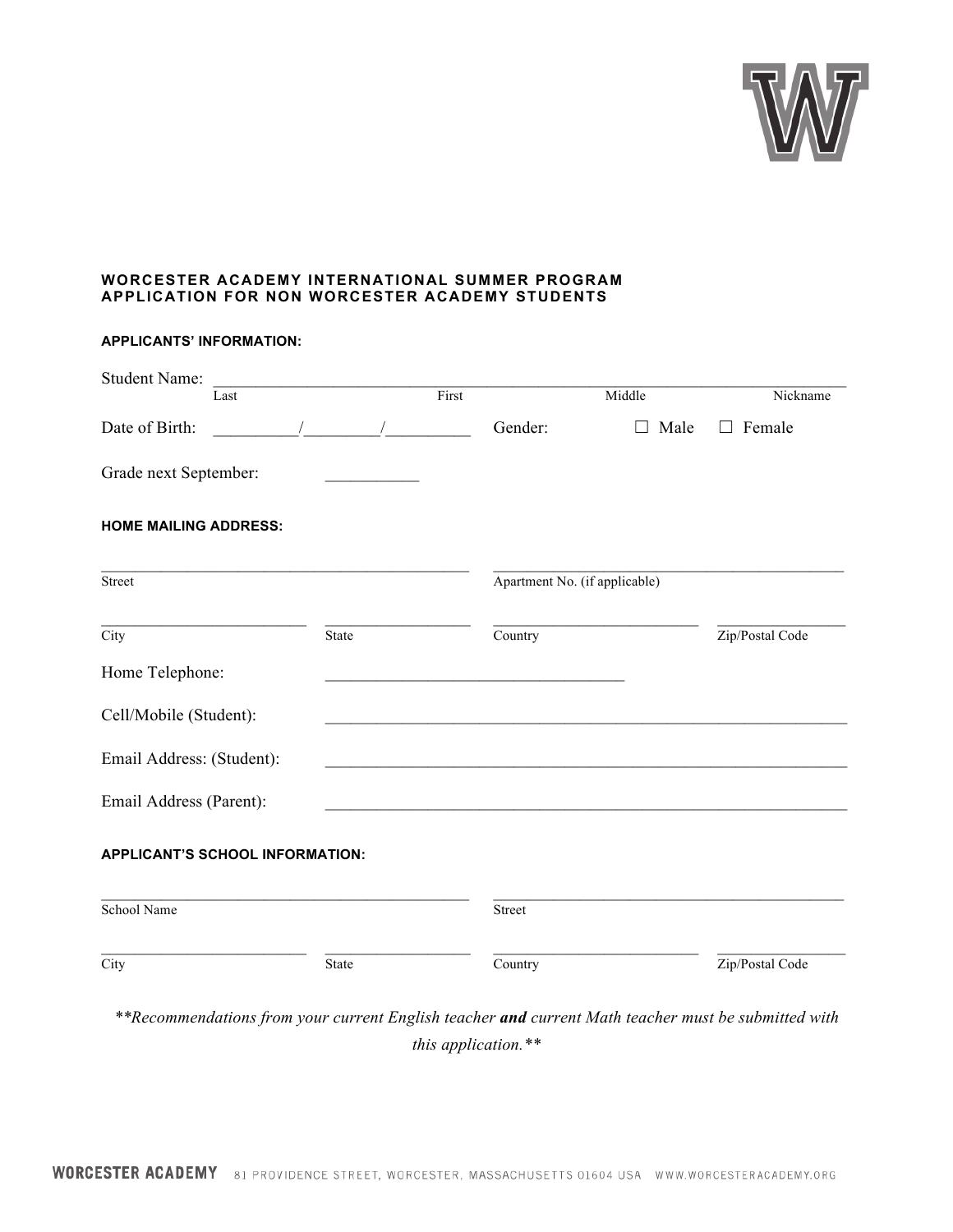

## **WORCESTER ACADEMY INTERNATIONAL SUMMER PROGRAM APPLICATION FOR NON WORCESTER ACADEMY STUDENTS**

| <b>Student Name:</b><br>Last           |       | First |                               | Middle          | Nickname        |
|----------------------------------------|-------|-------|-------------------------------|-----------------|-----------------|
| Date of Birth:<br>$\overline{1}$       |       |       | Gender:                       | Male<br>$\perp$ | $\Box$ Female   |
| Grade next September:                  |       |       |                               |                 |                 |
| <b>HOME MAILING ADDRESS:</b>           |       |       |                               |                 |                 |
| Street                                 |       |       | Apartment No. (if applicable) |                 |                 |
| City                                   | State |       | Country                       |                 | Zip/Postal Code |
| Home Telephone:                        |       |       |                               |                 |                 |
| Cell/Mobile (Student):                 |       |       |                               |                 |                 |
| Email Address: (Student):              |       |       |                               |                 |                 |
| Email Address (Parent):                |       |       |                               |                 |                 |
| <b>APPLICANT'S SCHOOL INFORMATION:</b> |       |       |                               |                 |                 |
| School Name                            |       |       | Street                        |                 |                 |
| $\overline{\mathrm{City}}$             | State |       | Country                       |                 | Zip/Postal Code |

*\*\*Recommendations from your current English teacher and current Math teacher must be submitted with this application.\*\**

## **APPLICANTS' INFORMATION:**